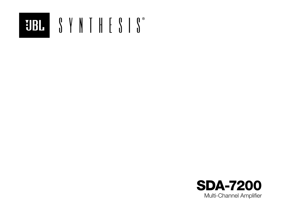

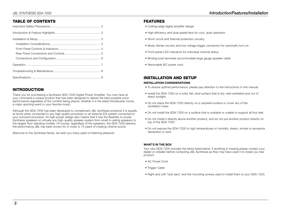# TABLE OF CONTENTS

# INTRODUCTION

Thank you for purchasing a Synthesis SDA-7200 Digital Power Amplifier. You now have at your command a unique product that has been designed to deliver the best possible sonic performance regardless of the content being played, whether it is the latest blockbuster movie, a major sporting event or your favorite music.

Although the SDA-7200 has been developed to complement JBL Synthesis products it is equally at home when connected to any high-quality processor or an external EQ system connected to your surround processor. Its high-power design also means that it has the flexibility to power Synthesis speakers or virtually any high-quality speaker system from small in-ceiling speakers to the largest floor standing models. Of course, regardless of the speakers, the SDA-7200 delivers the performance JBL has been known for in close to 75 years of creating cinema sound.

Welcome to the Synthesis family, we wish you many years of listening pleasure!

## FEATURES

- Cutting-edge digital amplifier design
- High efficiency and dual-speed fans for cool, quiet operation
- Short-circuit and thermal protection circuitry
- Music Sense circuitry and low voltage trigger connection for automatic turn-on
- Front-panel LED indicators for individual channel status
- Binding post terminals accommodate large gauge speaker cable
- Removable IEC power cord

## INSTALLATION AND SETUP

#### INSTALLATION CONSIDERATIONS

- To ensure optimal performance, please pay attention to the instructions in this manual.
- Install the SDA-7200 on a solid, flat, level surface that is dry, well-ventilated and out of direct sunlight.
- Do not place the SDA-7200 directly on a carpeted surface or cover any of the ventilation holes.
- Do not install the SDA-7200 on a surface that is unstable or unable to support all four feet.
- Do not install it directly above another product, and do not put another product directly on top of the SDA-7200.
- Do not expose the SDA-7200 to high temperatures or humidity, steam, smoke or excessive dampness or dust.

### WHAT'S IN THE BOX

Your new SDA-7200 includes the items listed below. If anything is missing please contact your dealer or installer before contacting JBL Synthesis as they may have used it to install you new product:

- AC Power Cord
- Trigger Cable
- Right and Left "rack ears" and the mounting screws used to install them to your SDA-7200.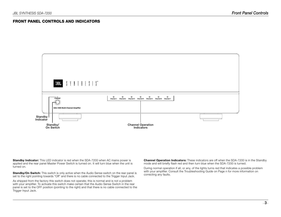### FRONT PANEL CONTROLS AND INDICATORS



**Standby Indicator:** This LED indicator is red when the SDA-7200 when AC mains power is applied and the rear panel Master Power Switch is turned on. It will turn blue when the unit is turned on.

**Standby/On Switch:** This switch is only active when the Audio Sense switch on the rear panel is set to the right pointing towards "Off" and there is no cable connected to the Trigger Input Jack.

As shipped from the factory this switch does not operate; this is normal and is not a problem with your amplifier. To activate this switch make certain that the Audio Sense Switch in the rear panel is set to the OFF position (pointing to the right) and that there is no cable connected to the Trigger Input Jack.

**Channel Operation Indicators:** These indicators are off when the SDA-7200 is in the Standby mode and will briefly flash red and then turn blue when the SDA-7200 is turned.

During normal operation if all, or any, of the lights turns red that indicates a possible problem with your amplifier. Consult the Troubleshooting Guide on Page n for more information on correcting any faults.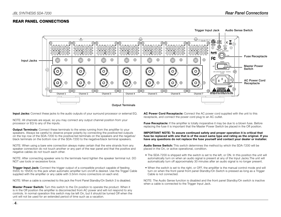### REAR PANEL CONNECTIONS



Input Jacks: Connect these jacks to the audio outputs of your surround processor or external EQ.

NOTE: All channels are equal, so you may connect any output channel position from your processor or EQ to any of the inputs.

**Output Terminals:** Connect these terminals to the wires running from the amplifier to your speakers. Always be careful to observe proper polarity by connecting the positive/red outputs on the top row of the SDA-7200 to the positive/red terminals on the speakers and the negative/ black terminals on the bottom row of the SDA-7200 to the negative/black terminal speakers.

NOTE: When using a bare wire connection always make certain that the wire strands from any speaker connection do not touch another or any part of the rear panel and that the positive and negative cables do not touch each other.

NOTE: After connecting speaker wire to the terminals hand tighten the speaker terminal nut. DO NOT use tools or excessive force.

**Trigger Input Jack:** Connect the trigger output of a compatible product capable of feeding 5VDC to 16VDC to this jack when automatic amplifier turn on/off is desired. Use the Trigger Cable supplied with the amplifier or any cable with 3.5mm mono connectors on each end.

NOTE: When a cable is connected to this jack the Front Panel Standby/On Switch 3 is disabled.

**Master Power Switch:** Turn this switch to the On position to operate the product. When it is in the Off position the amplifier is disconnected from AC power and will not respond to any controls. In normal operation this switch may be left On, but it should be turned Off when the unit will not be used for an extended period of time such as a vacation.

AC Power Cord Receptacle: Connect the AC power cord supplied with the unit to this receptacle, and connect the power cord plug to an AC outlet.

Fuse Receptacle: If the amplifier is totally inoperative it may be due to a blown fuse. Before replacing the fuse it is important that the Master Power Switch be placed in the Off position.

#### IMPORTANT NOTE: To assure continued safety and proper operation it is critical that fuse be replaced with one that is of the exact same type and rating as the original. If you have any questions do not replace the fuse yourself and contact your dealer or installer.

Audio Sense Switch: This switch determines the method by which the SDA-7200 will be placed in the On, or active operational, condition.

- The SDA-7200 is shipped with the switch is set to the left, or ON. In this position the unit will automatically turn on when an audio signal is present at any of the Input Jacks.The unit will automatically turn off approximately 30 minutes after an audio signal is no longer present.
- When the switch is set to the right, or OFF, the amplifier is the manual control mode and will turn on when the front panel front panel Standby/On Switch is pressed as long as a Trigger Cable is not connected.

NOTE: The Audio Sense function is disabled and the front panel Standby/On switch is inactive when a cable is connected to the Trigger Input Jack.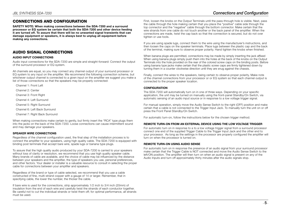# JBL SYNTHESIS SDA-7200 Connections and Configuration

## CONNECTIONS AND CONFIGURATION

SAFETY NOTE: When making connections between the SDA-7200 and a surround processor or EQ system be certain that both the SDA-7200 and other device feeding it are turned off. To assure that there will be no unwanted signal transients that can damage equipment or speakers, it is always best to unplug all equipment before making any connections.

### AUDIO SIGNAL CONNECTIONS

#### AUDIO INPUT CONNECTIONS

Audio input connections for the SDA-7200 are simple and straight-forward: Connect the output of the surround processor or EQ system.

All channels are equal, so you may connect any channel output of your surround processor or EQ system to any input on the amplifier. We recommend the following connection scheme, but whichever output channel is connected to a given input on the amplifier we suggest you make a list of those connections so that the speakers may be properly connected:

Channel 1: Front Left

Channel 2: Center

- Channel 3: Front Right
- Channel 4: Left Surround
- Channel 5: Right Surround
- Channel 6: Left Back Surround

Channel 7: Right Back Surround

When making connections make certain to gently, but firmly insert the "RCA" type plugs them into the jacks on the back of the SDA-7200. Loose connections can cause intermittent sound and may damage your speakers.

#### SPEAKER WIRE CONNECTIONS

Regardless of the channel configuration used, the final step of the installation process is to connect the amplifier to your speakers, using high quality cable. The SDA-7200 is equipped with binding post terminals that accept bare wire, spade lugs or banana type plugs.

To assure that the high quality audio produced by your SDA-7200 is carried to your speakers without loss of clarity or resolution, we recommend that you use high quality speaker cable. Many brands of cable are available, and the choice of cable may be influenced by the distance between your speakers and the amplifier, the type of speakers you use, personal preferences, and other factors. Your dealer or installer is a valuable resource to consult in selecting the proper cable for connections between your amplifier and speakers.

Regardless of the brand or type of cable selected, we recommend that you use a cable constructed of fine, multi-strand copper with a gauge of 14 or larger. Remember, that in specifying cable, the lower the number, the thicker the cable.

If bare wire is used for the connections, strip approximately 1/2 inch to 3/4 inch (20mm) of insulation from the end of each wire and carefully twist the strands of each conductor together. Be careful not to cut the individual strands or twist them off; for optimal performance, all strands must be used.

First, loosen the knobs on the Output Terminals until the pass-through hole is visible. Next, pass the cable through the hole making certain that you place the "positive" cable side through the top connector and the "negative" cable through the bottom connector. Make certain that the wire strands from one cable do not touch another or the back panel of the amplifier. When the connections are made, twist the cap back so that the connection is secured, but do not over tighten or use tools.

If you are using spade lugs, connect them to the wire using the manufacturer's instructions, and then loosen the caps on the speaker terminals. Place lugs between the plastic cap and the back of the terminal, making sure to observe proper polarity. Hand tighten the knobs when finished.

When banana plugs are permitted, connections may be made by simply inserting the jack affixed When using banana plugs simply push them into the holes at the back of the knobs on the Output Terminals into the hole provided on the rear of the colored screw caps on the binding posts. Before using banana type jacks make certain that the plastic screw caps are firmly tightened down by turning them in a counter clockwise direction until they are snug against the chassis.

Finally, connect the wires to the speakers, being certain to observe proper polarity. Make note of the channel connections from your processor or or EQ system so that each channel output is connected to the proper speaker location.

#### **CONFIGURATION**

The SDA-7200 will automatically turn on in one of three ways. Depending on your specific application, the unit may be turned on manually using the front-panel Standby/On Switch, via automatic sensing of an audio input source or in response to a low voltage trigger signal.

For manual operation, simply move the Audio Sense Switch to the right (OFF) position and make certain that a cable is not connected to the Trigger Input Jack. To manually turn the unit on or off press the Front Panel Standby/On Switch.

For automatic turn-on, follow the instructions below for the chosen trigger method.

#### REMOTE TURN-ON FROM AN EXTERNAL DEVICE USING THE LOW VOLTAGE TRIGGER

For automatic turn on in response to a to a low voltage trigger signal from a surround processor connect one end of the supplied Trigger Cable to the Trigger Input Jack and the other end to your processor. As long as the settings in the processor are properly configured the amplifier will turn on when the processor is turned on.

#### REMOTE TURN-ON USING AUDIO SENSE

For automatic turn on in response the presence of an audio signal from your surround processor make certain that the Trigger Cable is NOT connected and move the Audio Sense Switch to the left/ON position. The amplifier will then turn on when an audio signal is present on any of the Audio Inputs and turn off approximately thirty minutes after the audio signals stop.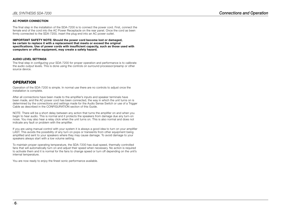#### AC POWER CONNECTION

The final step in the installation of the SDA-7200 is to connect the power cord. First, connect the female end of the cord into the AC Power Receptacle on the rear panel. Once the cord as been firmly connected to the SDA-7200, insert the plug end into an AC power outlet.

IMPORTANT SAFETY NOTE: Should the power cord become lost or damaged, be certain to replace it with a replacement that meets or exceed the original specifications. Use of power cords with insufficient capacity, such as those used with computers or office equipment, may create a safety hazard.

#### AUDIO LEVEL SETTINGS

The final step in configuring your SDA-7200 for proper operation and performance is to calibrate the audio output levels. This is done using the controls on surround processor/preamp or other source device.

### **OPERATION**

Operation of the SDA-7200 is simple. In normal use there are no controls to adjust once the installation is complete.

After all connections have been made to the amplifier's inputs and speaker terminals have been made, and the AC power cord has been connected, the way in which the unit turns on is determined by the connections and settings made for the Audio Sense Switch or use of a Trigger Cable as described in the CONFIGURATION section of this Guide.

NOTE: There will be a short delay between any action that turns the amplifier on and when you begin to hear audio. This is normal and it protects the speakers from damage due any turn-on noise. You may also hear a relay click when the unit turns on. This is also normal and does not indicate any fault or problem with the amplifier.

If you are using manual control with your system it is always a good idea to turn on your amplifier LAST. This avoids the possibility of any turn on pops or transients from other equipment being amplified and sent to your speakers where they may cause damage. To avoid damage to your speakers always start with a low volume setting.

To maintain proper operating temperature, the SDA-7200 has dual-speed, thermally controlled fans that will automatically turn on and adjust their speed when necessary. No action is required to activate them and it is normal for the fans to change speed or turn off depending on the unit's internal temperature.

You are now ready to enjoy the finest sonic performance available.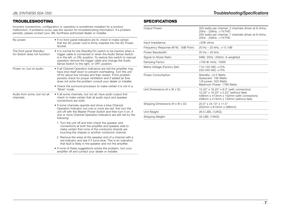# TROUBLESHOOTING

Incorrect connections, configuration or operation is sometimes mistaken for a product malfunction. If problems occur, see this section for troubleshooting information. If a problem persists, please contact your JBL Synthesis authorized dealer or installer.

| No power:                                                | • If no front panel indicators are lit, check to make certain<br>that the AC power cord is firmly inserted into the AC Power<br>Socket.                                                                                                                                                                                       |  |
|----------------------------------------------------------|-------------------------------------------------------------------------------------------------------------------------------------------------------------------------------------------------------------------------------------------------------------------------------------------------------------------------------|--|
| The front panel Standby/<br>On Switch does not function: | • It is normal for the Standby/On switch to be inactive when a<br>trigger cable is connected or when the Audio Sense Switch<br>is in the left, or ON, position. To restore this switch to manual<br>operation remove the trigger cable and change the Audio<br>Sense Switch to the right, or OFF, position.                   |  |
| Power on, but no audio:                                  | • If all Channel Operation Indicators are red the amplifier may<br>have shut itself down to prevent overheating. Turn the unit<br>off for about five minutes and then restart. If this problem<br>persists check for proper ventilation and if added air flow<br>does not solve the problem consult your dealer or installer. |  |
|                                                          | • Check the surround processor to make certain it is not in a<br>"Mute" mode.                                                                                                                                                                                                                                                 |  |
| Audio from some, but not all<br>channels:                | • If all some channels, but not all, have audio output first<br>check to make certain that all audio input and speaker<br>connections are solid.                                                                                                                                                                              |  |
|                                                          | • If some channels operate and show a blue Channel<br>Operation Indicator, but one or more are red, first turn the<br>unit off with the Master Power Switch and then turn it on. If<br>one or more Channel Operation Indicators are still red try the<br>following:                                                           |  |
|                                                          | 1. Turn the unit off and then check the speaker wire<br>connections at both the amplifier and speaker side to<br>make certain that none of the conductor strands are<br>touching the chassis or another conductor channel.                                                                                                    |  |
|                                                          | 2. Remove the wires at the speaker end of a channel with a<br>red indicator and see if it turns blue. This is an indication<br>that fault is likely in the speaker and not the amplifier.                                                                                                                                     |  |
|                                                          | . If none of these suggestions solves the problem, turn your<br>amplifier off and contact your dealer or installer.                                                                                                                                                                                                           |  |

# **SPECIFICATIONS**

| Output Power:                             | 320 watts per channel, 2 channels driven at 8 ohms,<br>20Hz - 20kHz, <1%THD<br>200 watts per channel, 7 channels driven at 8 ohms,<br>20Hz - 20kHz, <1%THD            |
|-------------------------------------------|-----------------------------------------------------------------------------------------------------------------------------------------------------------------------|
| Input Impedance:                          | >20K ohms                                                                                                                                                             |
| Frequency Response @1W, -3dB Point:       | 20 Hz - 20 kHz, +/-0.1dB                                                                                                                                              |
| Power Bandwidth:                          | $20$ Hz $-$ 20 kHz                                                                                                                                                    |
| Signal-to-Noise Ratio:                    | 94Br, 20Hz -20kHz, A-weighted                                                                                                                                         |
| Damping Factor:                           | >700 @ 1kHz, 100W                                                                                                                                                     |
| Mains Voltage (Factory Set):              | 110-120 VAC ±10%<br>220-240 VAC ±10%                                                                                                                                  |
| Power Consumption:                        | Standby: < 0.5 Watts<br>Quiescent: 156 Watts<br>1/8 power: 323 Watts<br>Maximum Power: 1766 Watts                                                                     |
| Unit Dimensions $(H \times W \times D)$ : | 15.25" x 16.25" x 6.0" (with connectors)<br>15.25" x 16.25" x 5.25" (without feet)<br>438mm x 413mm x 152mm (with connectors)<br>438mm x 413mm x 133mm (without feet) |
| Shipping Dimensions (H x W x D):          | 20.5" x 24.13" x 11.5"<br>(522mm x 613mm x 288mm)                                                                                                                     |
| Unit Weight:                              | 26.5 LBS. (12KG)                                                                                                                                                      |
| Shipping Weight:                          | 33 LBS. (15KG)                                                                                                                                                        |